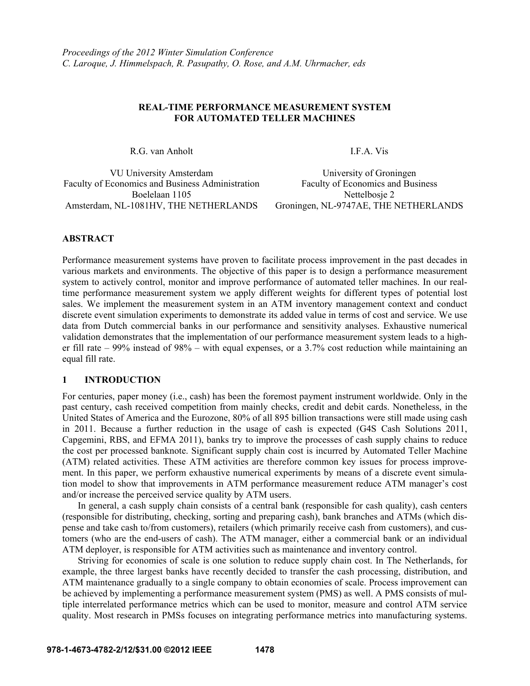## **REAL-TIME PERFORMANCE MEASUREMENT SYSTEM FOR AUTOMATED TELLER MACHINES**

R.G. van Anholt I.F.A. Vis

VU University Amsterdam Faculty of Economics and Business Administration Boelelaan 1105 Nettelbosje 2 Amsterdam, NL-1081HV, THE NETHERLANDS Groningen, NL-9747AE, THE NETHERLANDS

University of Groningen Faculty of Economics and Business

## **ABSTRACT**

Performance measurement systems have proven to facilitate process improvement in the past decades in various markets and environments. The objective of this paper is to design a performance measurement system to actively control, monitor and improve performance of automated teller machines. In our realtime performance measurement system we apply different weights for different types of potential lost sales. We implement the measurement system in an ATM inventory management context and conduct discrete event simulation experiments to demonstrate its added value in terms of cost and service. We use data from Dutch commercial banks in our performance and sensitivity analyses. Exhaustive numerical validation demonstrates that the implementation of our performance measurement system leads to a higher fill rate – 99% instead of 98% – with equal expenses, or a 3.7% cost reduction while maintaining an equal fill rate.

## **1 INTRODUCTION**

For centuries, paper money (i.e., cash) has been the foremost payment instrument worldwide. Only in the past century, cash received competition from mainly checks, credit and debit cards. Nonetheless, in the United States of America and the Eurozone, 80% of all 895 billion transactions were still made using cash in 2011. Because a further reduction in the usage of cash is expected (G4S Cash Solutions 2011, Capgemini, RBS, and EFMA 2011), banks try to improve the processes of cash supply chains to reduce the cost per processed banknote. Significant supply chain cost is incurred by Automated Teller Machine (ATM) related activities. These ATM activities are therefore common key issues for process improvement. In this paper, we perform exhaustive numerical experiments by means of a discrete event simulation model to show that improvements in ATM performance measurement reduce ATM manager's cost and/or increase the perceived service quality by ATM users.

In general, a cash supply chain consists of a central bank (responsible for cash quality), cash centers (responsible for distributing, checking, sorting and preparing cash), bank branches and ATMs (which dispense and take cash to/from customers), retailers (which primarily receive cash from customers), and customers (who are the end-users of cash). The ATM manager, either a commercial bank or an individual ATM deployer, is responsible for ATM activities such as maintenance and inventory control.

Striving for economies of scale is one solution to reduce supply chain cost. In The Netherlands, for example, the three largest banks have recently decided to transfer the cash processing, distribution, and ATM maintenance gradually to a single company to obtain economies of scale. Process improvement can be achieved by implementing a performance measurement system (PMS) as well. A PMS consists of multiple interrelated performance metrics which can be used to monitor, measure and control ATM service quality. Most research in PMSs focuses on integrating performance metrics into manufacturing systems.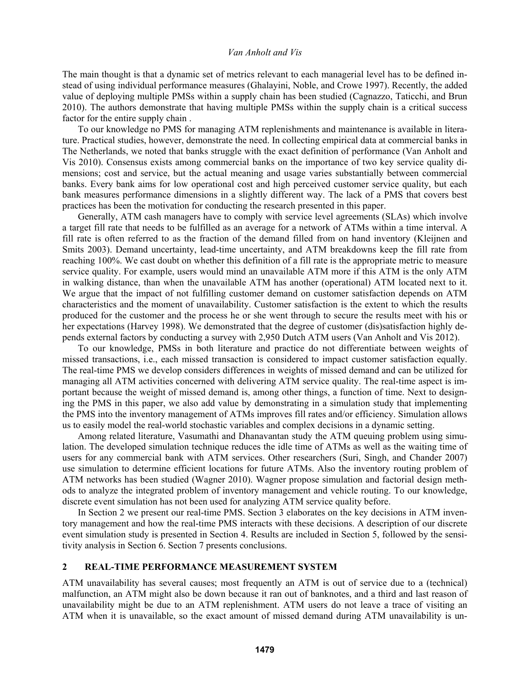The main thought is that a dynamic set of metrics relevant to each managerial level has to be defined instead of using individual performance measures (Ghalayini, Noble, and Crowe 1997). Recently, the added value of deploying multiple PMSs within a supply chain has been studied (Cagnazzo, Taticchi, and Brun 2010). The authors demonstrate that having multiple PMSs within the supply chain is a critical success factor for the entire supply chain .

To our knowledge no PMS for managing ATM replenishments and maintenance is available in literature. Practical studies, however, demonstrate the need. In collecting empirical data at commercial banks in The Netherlands, we noted that banks struggle with the exact definition of performance (Van Anholt and Vis 2010). Consensus exists among commercial banks on the importance of two key service quality dimensions; cost and service, but the actual meaning and usage varies substantially between commercial banks. Every bank aims for low operational cost and high perceived customer service quality, but each bank measures performance dimensions in a slightly different way. The lack of a PMS that covers best practices has been the motivation for conducting the research presented in this paper.

Generally, ATM cash managers have to comply with service level agreements (SLAs) which involve a target fill rate that needs to be fulfilled as an average for a network of ATMs within a time interval. A fill rate is often referred to as the fraction of the demand filled from on hand inventory (Kleijnen and Smits 2003). Demand uncertainty, lead-time uncertainty, and ATM breakdowns keep the fill rate from reaching 100%. We cast doubt on whether this definition of a fill rate is the appropriate metric to measure service quality. For example, users would mind an unavailable ATM more if this ATM is the only ATM in walking distance, than when the unavailable ATM has another (operational) ATM located next to it. We argue that the impact of not fulfilling customer demand on customer satisfaction depends on ATM characteristics and the moment of unavailability. Customer satisfaction is the extent to which the results produced for the customer and the process he or she went through to secure the results meet with his or her expectations (Harvey 1998). We demonstrated that the degree of customer (dis)satisfaction highly depends external factors by conducting a survey with 2,950 Dutch ATM users (Van Anholt and Vis 2012).

To our knowledge, PMSs in both literature and practice do not differentiate between weights of missed transactions, i.e., each missed transaction is considered to impact customer satisfaction equally. The real-time PMS we develop considers differences in weights of missed demand and can be utilized for managing all ATM activities concerned with delivering ATM service quality. The real-time aspect is important because the weight of missed demand is, among other things, a function of time. Next to designing the PMS in this paper, we also add value by demonstrating in a simulation study that implementing the PMS into the inventory management of ATMs improves fill rates and/or efficiency. Simulation allows us to easily model the real-world stochastic variables and complex decisions in a dynamic setting.

Among related literature, Vasumathi and Dhanavantan study the ATM queuing problem using simulation. The developed simulation technique reduces the idle time of ATMs as well as the waiting time of users for any commercial bank with ATM services. Other researchers (Suri, Singh, and Chander 2007) use simulation to determine efficient locations for future ATMs. Also the inventory routing problem of ATM networks has been studied (Wagner 2010). Wagner propose simulation and factorial design methods to analyze the integrated problem of inventory management and vehicle routing. To our knowledge, discrete event simulation has not been used for analyzing ATM service quality before.

In Section 2 we present our real-time PMS. Section 3 elaborates on the key decisions in ATM inventory management and how the real-time PMS interacts with these decisions. A description of our discrete event simulation study is presented in Section 4. Results are included in Section 5, followed by the sensitivity analysis in Section 6. Section 7 presents conclusions.

## **2 REAL-TIME PERFORMANCE MEASUREMENT SYSTEM**

ATM unavailability has several causes; most frequently an ATM is out of service due to a (technical) malfunction, an ATM might also be down because it ran out of banknotes, and a third and last reason of unavailability might be due to an ATM replenishment. ATM users do not leave a trace of visiting an ATM when it is unavailable, so the exact amount of missed demand during ATM unavailability is un-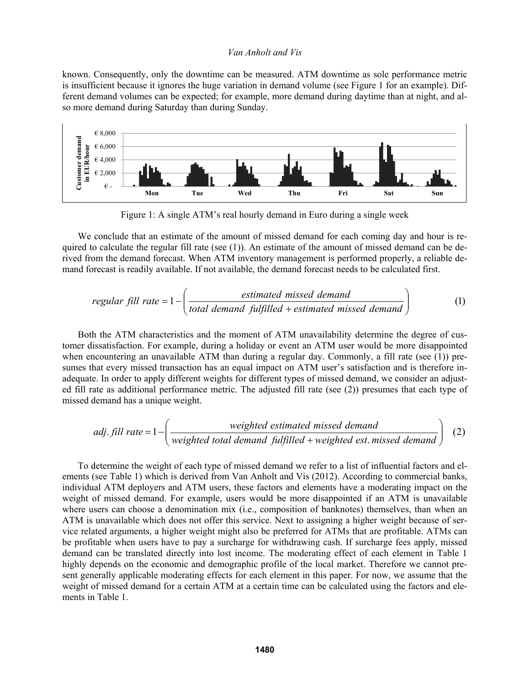known. Consequently, only the downtime can be measured. ATM downtime as sole performance metric is insufficient because it ignores the huge variation in demand volume (see Figure 1 for an example). Different demand volumes can be expected; for example, more demand during daytime than at night, and also more demand during Saturday than during Sunday.



Figure 1: A single ATM's real hourly demand in Euro during a single week

We conclude that an estimate of the amount of missed demand for each coming day and hour is required to calculate the regular fill rate (see  $(1)$ ). An estimate of the amount of missed demand can be derived from the demand forecast. When ATM inventory management is performed properly, a reliable demand forecast is readily available. If not available, the demand forecast needs to be calculated first.

$$
regular fill rate = 1 - \left(\frac{estimated \; missed \; demand}{total \; demand \; fulfilled + estimated \; missed \; demand}\right)
$$
 (1)

Both the ATM characteristics and the moment of ATM unavailability determine the degree of customer dissatisfaction. For example, during a holiday or event an ATM user would be more disappointed when encountering an unavailable ATM than during a regular day. Commonly, a fill rate (see (1)) presumes that every missed transaction has an equal impact on ATM user's satisfaction and is therefore inadequate. In order to apply different weights for different types of missed demand, we consider an adjusted fill rate as additional performance metric. The adjusted fill rate (see (2)) presumes that each type of missed demand has a unique weight.

adj. fill rate = 
$$
1 - \left( \frac{\text{weighted estimated missed demand}}{\text{weighted total demand fulfilled + weighted est. missed demand}} \right)
$$
 (2)

To determine the weight of each type of missed demand we refer to a list of influential factors and elements (see Table 1) which is derived from Van Anholt and Vis (2012). According to commercial banks, individual ATM deployers and ATM users, these factors and elements have a moderating impact on the weight of missed demand. For example, users would be more disappointed if an ATM is unavailable where users can choose a denomination mix (i.e., composition of banknotes) themselves, than when an ATM is unavailable which does not offer this service. Next to assigning a higher weight because of service related arguments, a higher weight might also be preferred for ATMs that are profitable. ATMs can be profitable when users have to pay a surcharge for withdrawing cash. If surcharge fees apply, missed demand can be translated directly into lost income. The moderating effect of each element in Table 1 highly depends on the economic and demographic profile of the local market. Therefore we cannot present generally applicable moderating effects for each element in this paper. For now, we assume that the weight of missed demand for a certain ATM at a certain time can be calculated using the factors and elements in Table 1.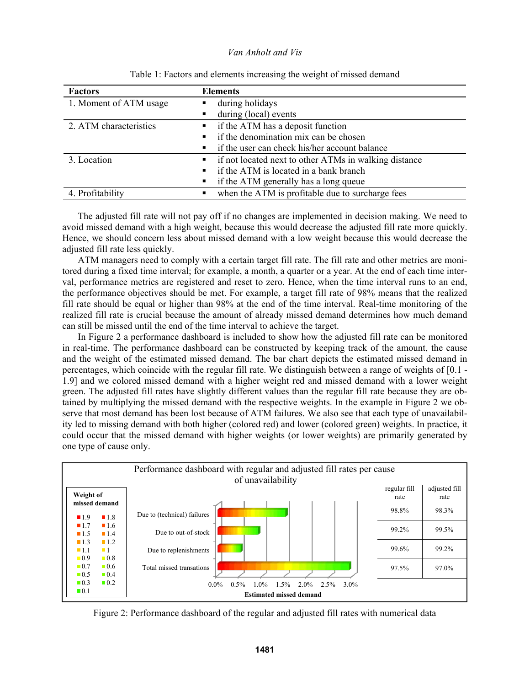| <b>Factors</b>         | <b>Elements</b>                                                         |  |
|------------------------|-------------------------------------------------------------------------|--|
| 1. Moment of ATM usage | during holidays<br>٠                                                    |  |
|                        | during (local) events<br>٠                                              |  |
| 2. ATM characteristics | if the ATM has a deposit function                                       |  |
|                        | if the denomination mix can be chosen                                   |  |
|                        | if the user can check his/her account balance                           |  |
| 3. Location            | if not located next to other ATMs in walking distance<br>$\blacksquare$ |  |
|                        | if the ATM is located in a bank branch<br>٠                             |  |
|                        | if the ATM generally has a long queue<br>٠                              |  |
| 4. Profitability       | when the ATM is profitable due to surcharge fees<br>٠                   |  |

Table 1: Factors and elements increasing the weight of missed demand

The adjusted fill rate will not pay off if no changes are implemented in decision making. We need to avoid missed demand with a high weight, because this would decrease the adjusted fill rate more quickly. Hence, we should concern less about missed demand with a low weight because this would decrease the adjusted fill rate less quickly.

ATM managers need to comply with a certain target fill rate. The fill rate and other metrics are monitored during a fixed time interval; for example, a month, a quarter or a year. At the end of each time interval, performance metrics are registered and reset to zero. Hence, when the time interval runs to an end, the performance objectives should be met. For example, a target fill rate of 98% means that the realized fill rate should be equal or higher than 98% at the end of the time interval. Real-time monitoring of the realized fill rate is crucial because the amount of already missed demand determines how much demand can still be missed until the end of the time interval to achieve the target.

In Figure 2 a performance dashboard is included to show how the adjusted fill rate can be monitored in real-time. The performance dashboard can be constructed by keeping track of the amount, the cause and the weight of the estimated missed demand. The bar chart depicts the estimated missed demand in percentages, which coincide with the regular fill rate. We distinguish between a range of weights of [0.1 - 1.9] and we colored missed demand with a higher weight red and missed demand with a lower weight green. The adjusted fill rates have slightly different values than the regular fill rate because they are obtained by multiplying the missed demand with the respective weights. In the example in Figure 2 we observe that most demand has been lost because of ATM failures. We also see that each type of unavailability led to missing demand with both higher (colored red) and lower (colored green) weights. In practice, it could occur that the missed demand with higher weights (or lower weights) are primarily generated by one type of cause only.



Figure 2: Performance dashboard of the regular and adjusted fill rates with numerical data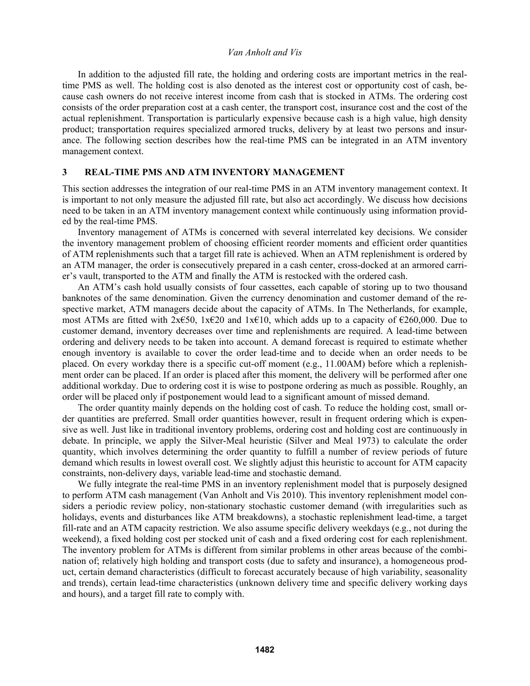In addition to the adjusted fill rate, the holding and ordering costs are important metrics in the realtime PMS as well. The holding cost is also denoted as the interest cost or opportunity cost of cash, because cash owners do not receive interest income from cash that is stocked in ATMs. The ordering cost consists of the order preparation cost at a cash center, the transport cost, insurance cost and the cost of the actual replenishment. Transportation is particularly expensive because cash is a high value, high density product; transportation requires specialized armored trucks, delivery by at least two persons and insurance. The following section describes how the real-time PMS can be integrated in an ATM inventory management context.

## **3 REAL-TIME PMS AND ATM INVENTORY MANAGEMENT**

This section addresses the integration of our real-time PMS in an ATM inventory management context. It is important to not only measure the adjusted fill rate, but also act accordingly. We discuss how decisions need to be taken in an ATM inventory management context while continuously using information provided by the real-time PMS.

Inventory management of ATMs is concerned with several interrelated key decisions. We consider the inventory management problem of choosing efficient reorder moments and efficient order quantities of ATM replenishments such that a target fill rate is achieved. When an ATM replenishment is ordered by an ATM manager, the order is consecutively prepared in a cash center, cross-docked at an armored carrier's vault, transported to the ATM and finally the ATM is restocked with the ordered cash.

An ATM's cash hold usually consists of four cassettes, each capable of storing up to two thousand banknotes of the same denomination. Given the currency denomination and customer demand of the respective market, ATM managers decide about the capacity of ATMs. In The Netherlands, for example, most ATMs are fitted with  $2x \in 50$ ,  $1x \in 20$  and  $1x \in 10$ , which adds up to a capacity of  $\in 260,000$ . Due to customer demand, inventory decreases over time and replenishments are required. A lead-time between ordering and delivery needs to be taken into account. A demand forecast is required to estimate whether enough inventory is available to cover the order lead-time and to decide when an order needs to be placed. On every workday there is a specific cut-off moment (e.g., 11.00AM) before which a replenishment order can be placed. If an order is placed after this moment, the delivery will be performed after one additional workday. Due to ordering cost it is wise to postpone ordering as much as possible. Roughly, an order will be placed only if postponement would lead to a significant amount of missed demand.

The order quantity mainly depends on the holding cost of cash. To reduce the holding cost, small order quantities are preferred. Small order quantities however, result in frequent ordering which is expensive as well. Just like in traditional inventory problems, ordering cost and holding cost are continuously in debate. In principle, we apply the Silver-Meal heuristic (Silver and Meal 1973) to calculate the order quantity, which involves determining the order quantity to fulfill a number of review periods of future demand which results in lowest overall cost. We slightly adjust this heuristic to account for ATM capacity constraints, non-delivery days, variable lead-time and stochastic demand.

We fully integrate the real-time PMS in an inventory replenishment model that is purposely designed to perform ATM cash management (Van Anholt and Vis 2010). This inventory replenishment model considers a periodic review policy, non-stationary stochastic customer demand (with irregularities such as holidays, events and disturbances like ATM breakdowns), a stochastic replenishment lead-time, a target fill-rate and an ATM capacity restriction. We also assume specific delivery weekdays (e.g., not during the weekend), a fixed holding cost per stocked unit of cash and a fixed ordering cost for each replenishment. The inventory problem for ATMs is different from similar problems in other areas because of the combination of; relatively high holding and transport costs (due to safety and insurance), a homogeneous product, certain demand characteristics (difficult to forecast accurately because of high variability, seasonality and trends), certain lead-time characteristics (unknown delivery time and specific delivery working days and hours), and a target fill rate to comply with.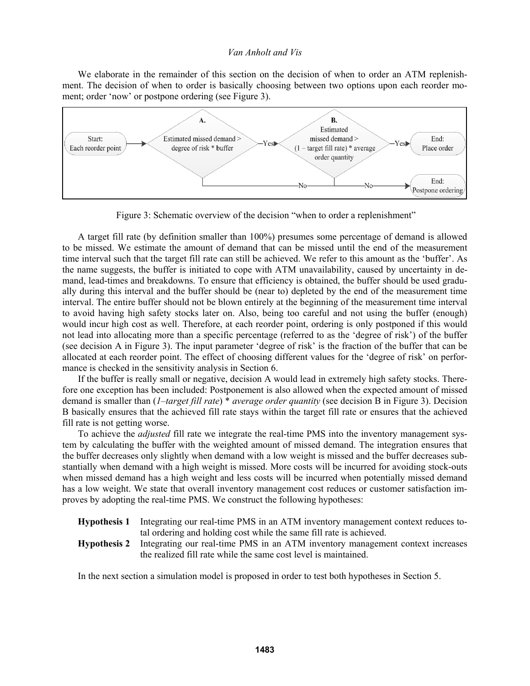We elaborate in the remainder of this section on the decision of when to order an ATM replenishment. The decision of when to order is basically choosing between two options upon each reorder moment; order 'now' or postpone ordering (see Figure 3).



Figure 3: Schematic overview of the decision "when to order a replenishment"

A target fill rate (by definition smaller than 100%) presumes some percentage of demand is allowed to be missed. We estimate the amount of demand that can be missed until the end of the measurement time interval such that the target fill rate can still be achieved. We refer to this amount as the 'buffer'. As the name suggests, the buffer is initiated to cope with ATM unavailability, caused by uncertainty in demand, lead-times and breakdowns. To ensure that efficiency is obtained, the buffer should be used gradually during this interval and the buffer should be (near to) depleted by the end of the measurement time interval. The entire buffer should not be blown entirely at the beginning of the measurement time interval to avoid having high safety stocks later on. Also, being too careful and not using the buffer (enough) would incur high cost as well. Therefore, at each reorder point, ordering is only postponed if this would not lead into allocating more than a specific percentage (referred to as the 'degree of risk') of the buffer (see decision A in Figure 3). The input parameter 'degree of risk' is the fraction of the buffer that can be allocated at each reorder point. The effect of choosing different values for the 'degree of risk' on performance is checked in the sensitivity analysis in Section 6.

If the buffer is really small or negative, decision A would lead in extremely high safety stocks. Therefore one exception has been included: Postponement is also allowed when the expected amount of missed demand is smaller than (*1–target fill rate*) \* *average order quantity* (see decision B in Figure 3). Decision B basically ensures that the achieved fill rate stays within the target fill rate or ensures that the achieved fill rate is not getting worse.

To achieve the *adjusted* fill rate we integrate the real-time PMS into the inventory management system by calculating the buffer with the weighted amount of missed demand. The integration ensures that the buffer decreases only slightly when demand with a low weight is missed and the buffer decreases substantially when demand with a high weight is missed. More costs will be incurred for avoiding stock-outs when missed demand has a high weight and less costs will be incurred when potentially missed demand has a low weight. We state that overall inventory management cost reduces or customer satisfaction improves by adopting the real-time PMS. We construct the following hypotheses:

- **Hypothesis 1** Integrating our real-time PMS in an ATM inventory management context reduces total ordering and holding cost while the same fill rate is achieved.
- **Hypothesis 2** Integrating our real-time PMS in an ATM inventory management context increases the realized fill rate while the same cost level is maintained.

In the next section a simulation model is proposed in order to test both hypotheses in Section 5.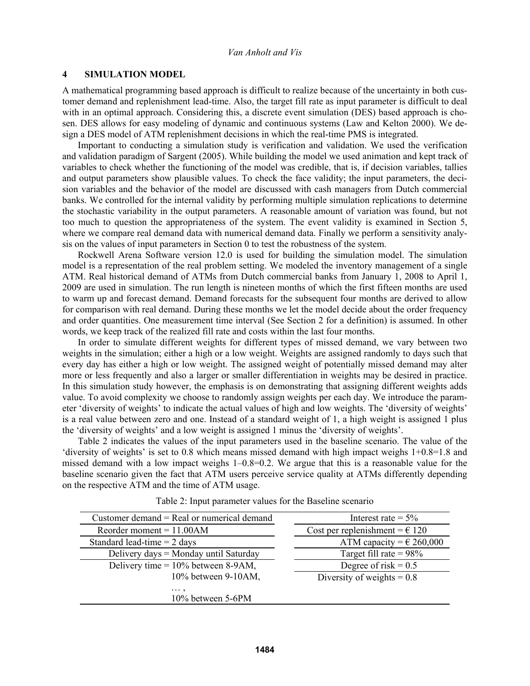#### **4 SIMULATION MODEL**

A mathematical programming based approach is difficult to realize because of the uncertainty in both customer demand and replenishment lead-time. Also, the target fill rate as input parameter is difficult to deal with in an optimal approach. Considering this, a discrete event simulation (DES) based approach is chosen. DES allows for easy modeling of dynamic and continuous systems (Law and Kelton 2000). We design a DES model of ATM replenishment decisions in which the real-time PMS is integrated.

Important to conducting a simulation study is verification and validation. We used the verification and validation paradigm of Sargent (2005). While building the model we used animation and kept track of variables to check whether the functioning of the model was credible, that is, if decision variables, tallies and output parameters show plausible values. To check the face validity; the input parameters, the decision variables and the behavior of the model are discussed with cash managers from Dutch commercial banks. We controlled for the internal validity by performing multiple simulation replications to determine the stochastic variability in the output parameters. A reasonable amount of variation was found, but not too much to question the appropriateness of the system. The event validity is examined in Section 5, where we compare real demand data with numerical demand data. Finally we perform a sensitivity analysis on the values of input parameters in Section 0 to test the robustness of the system.

Rockwell Arena Software version 12.0 is used for building the simulation model. The simulation model is a representation of the real problem setting. We modeled the inventory management of a single ATM. Real historical demand of ATMs from Dutch commercial banks from January 1, 2008 to April 1, 2009 are used in simulation. The run length is nineteen months of which the first fifteen months are used to warm up and forecast demand. Demand forecasts for the subsequent four months are derived to allow for comparison with real demand. During these months we let the model decide about the order frequency and order quantities. One measurement time interval (See Section 2 for a definition) is assumed. In other words, we keep track of the realized fill rate and costs within the last four months.

In order to simulate different weights for different types of missed demand, we vary between two weights in the simulation; either a high or a low weight. Weights are assigned randomly to days such that every day has either a high or low weight. The assigned weight of potentially missed demand may alter more or less frequently and also a larger or smaller differentiation in weights may be desired in practice. In this simulation study however, the emphasis is on demonstrating that assigning different weights adds value. To avoid complexity we choose to randomly assign weights per each day. We introduce the parameter 'diversity of weights' to indicate the actual values of high and low weights. The 'diversity of weights' is a real value between zero and one. Instead of a standard weight of 1, a high weight is assigned 1 plus the 'diversity of weights' and a low weight is assigned 1 minus the 'diversity of weights'.

Table 2 indicates the values of the input parameters used in the baseline scenario. The value of the 'diversity of weights' is set to 0.8 which means missed demand with high impact weighs 1+0.8=1.8 and missed demand with a low impact weighs 1–0.8=0.2. We argue that this is a reasonable value for the baseline scenario given the fact that ATM users perceive service quality at ATMs differently depending on the respective ATM and the time of ATM usage.

| Customer demand = Real or numerical demand | Interest rate $= 5\%$                   |
|--------------------------------------------|-----------------------------------------|
| Reorder moment $= 11.00$ AM                | Cost per replenishment = $\epsilon$ 120 |
| Standard lead-time $= 2$ days              | ATM capacity = $\epsilon$ 260,000       |
| Delivery days = Monday until Saturday      | Target fill rate = $98\%$               |
| Delivery time = $10\%$ between 8-9AM,      | Degree of risk = $0.5$                  |
| 10% between 9-10AM,                        | Diversity of weights = $0.8$            |
| $\cdots,$                                  |                                         |
| $10\%$ between 5-6PM                       |                                         |

Table 2: Input parameter values for the Baseline scenario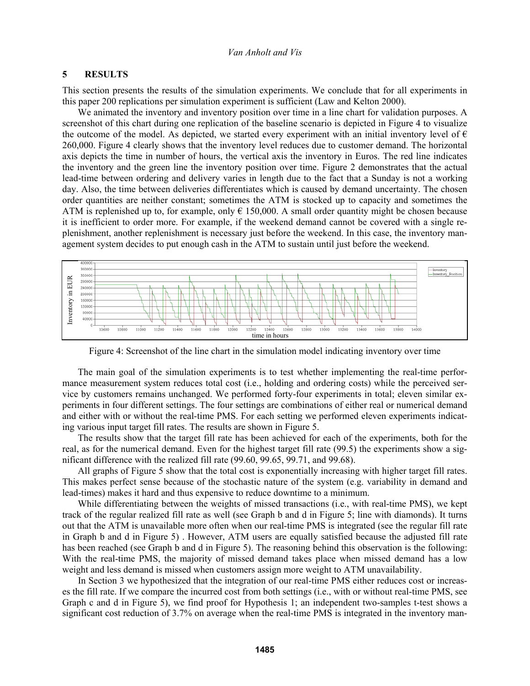#### **5 RESULTS**

This section presents the results of the simulation experiments. We conclude that for all experiments in this paper 200 replications per simulation experiment is sufficient (Law and Kelton 2000).

We animated the inventory and inventory position over time in a line chart for validation purposes. A screenshot of this chart during one replication of the baseline scenario is depicted in Figure 4 to visualize the outcome of the model. As depicted, we started every experiment with an initial inventory level of  $\epsilon$ 260,000. Figure 4 clearly shows that the inventory level reduces due to customer demand. The horizontal axis depicts the time in number of hours, the vertical axis the inventory in Euros. The red line indicates the inventory and the green line the inventory position over time. Figure 2 demonstrates that the actual lead-time between ordering and delivery varies in length due to the fact that a Sunday is not a working day. Also, the time between deliveries differentiates which is caused by demand uncertainty. The chosen order quantities are neither constant; sometimes the ATM is stocked up to capacity and sometimes the ATM is replenished up to, for example, only  $\epsilon$  150,000. A small order quantity might be chosen because it is inefficient to order more. For example, if the weekend demand cannot be covered with a single replenishment, another replenishment is necessary just before the weekend. In this case, the inventory management system decides to put enough cash in the ATM to sustain until just before the weekend.



Figure 4: Screenshot of the line chart in the simulation model indicating inventory over time

The main goal of the simulation experiments is to test whether implementing the real-time performance measurement system reduces total cost (i.e., holding and ordering costs) while the perceived service by customers remains unchanged. We performed forty-four experiments in total; eleven similar experiments in four different settings. The four settings are combinations of either real or numerical demand and either with or without the real-time PMS. For each setting we performed eleven experiments indicating various input target fill rates. The results are shown in Figure 5.

The results show that the target fill rate has been achieved for each of the experiments, both for the real, as for the numerical demand. Even for the highest target fill rate (99.5) the experiments show a significant difference with the realized fill rate (99.60, 99.65, 99.71, and 99.68).

All graphs of Figure 5 show that the total cost is exponentially increasing with higher target fill rates. This makes perfect sense because of the stochastic nature of the system (e.g. variability in demand and lead-times) makes it hard and thus expensive to reduce downtime to a minimum.

While differentiating between the weights of missed transactions (i.e., with real-time PMS), we kept track of the regular realized fill rate as well (see Graph b and d in Figure 5; line with diamonds). It turns out that the ATM is unavailable more often when our real-time PMS is integrated (see the regular fill rate in Graph b and d in Figure 5) . However, ATM users are equally satisfied because the adjusted fill rate has been reached (see Graph b and d in Figure 5). The reasoning behind this observation is the following: With the real-time PMS, the majority of missed demand takes place when missed demand has a low weight and less demand is missed when customers assign more weight to ATM unavailability.

In Section 3 we hypothesized that the integration of our real-time PMS either reduces cost or increases the fill rate. If we compare the incurred cost from both settings (i.e., with or without real-time PMS, see Graph c and d in Figure 5), we find proof for Hypothesis 1; an independent two-samples t-test shows a significant cost reduction of 3.7% on average when the real-time PMS is integrated in the inventory man-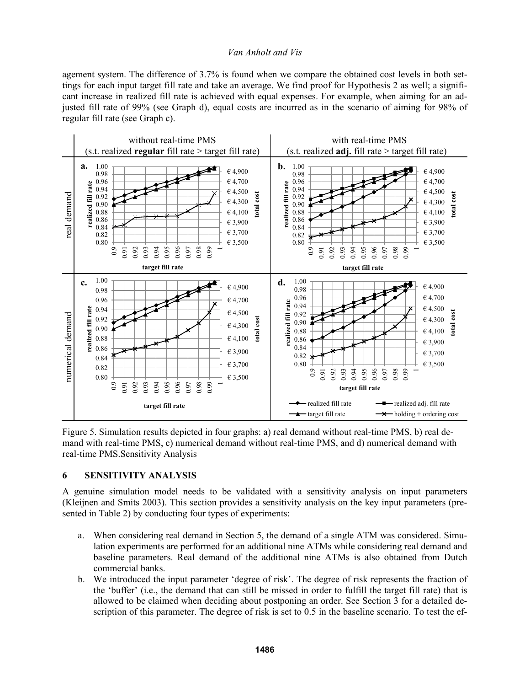agement system. The difference of 3.7% is found when we compare the obtained cost levels in both settings for each input target fill rate and take an average. We find proof for Hypothesis 2 as well; a significant increase in realized fill rate is achieved with equal expenses. For example, when aiming for an adjusted fill rate of 99% (see Graph d), equal costs are incurred as in the scenario of aiming for 98% of regular fill rate (see Graph c).



Figure 5. Simulation results depicted in four graphs: a) real demand without real-time PMS, b) real demand with real-time PMS, c) numerical demand without real-time PMS, and d) numerical demand with real-time PMS.Sensitivity Analysis

## **6 SENSITIVITY ANALYSIS**

A genuine simulation model needs to be validated with a sensitivity analysis on input parameters (Kleijnen and Smits 2003). This section provides a sensitivity analysis on the key input parameters (presented in Table 2) by conducting four types of experiments:

- a. When considering real demand in Section 5, the demand of a single ATM was considered. Simulation experiments are performed for an additional nine ATMs while considering real demand and baseline parameters. Real demand of the additional nine ATMs is also obtained from Dutch commercial banks.
- b. We introduced the input parameter 'degree of risk'. The degree of risk represents the fraction of the 'buffer' (i.e., the demand that can still be missed in order to fulfill the target fill rate) that is allowed to be claimed when deciding about postponing an order. See Section 3 for a detailed description of this parameter. The degree of risk is set to 0.5 in the baseline scenario. To test the ef-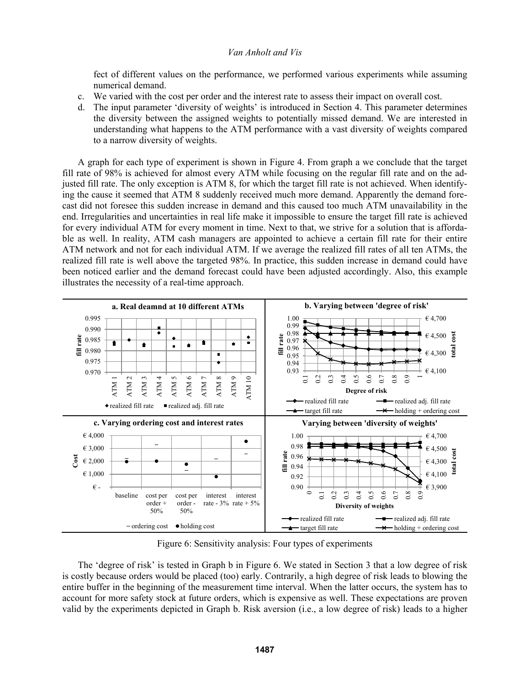fect of different values on the performance, we performed various experiments while assuming numerical demand.

- c. We varied with the cost per order and the interest rate to assess their impact on overall cost.
- d. The input parameter 'diversity of weights' is introduced in Section 4. This parameter determines the diversity between the assigned weights to potentially missed demand. We are interested in understanding what happens to the ATM performance with a vast diversity of weights compared to a narrow diversity of weights.

A graph for each type of experiment is shown in Figure 4. From graph a we conclude that the target fill rate of 98% is achieved for almost every ATM while focusing on the regular fill rate and on the adjusted fill rate. The only exception is ATM 8, for which the target fill rate is not achieved. When identifying the cause it seemed that ATM 8 suddenly received much more demand. Apparently the demand forecast did not foresee this sudden increase in demand and this caused too much ATM unavailability in the end. Irregularities and uncertainties in real life make it impossible to ensure the target fill rate is achieved for every individual ATM for every moment in time. Next to that, we strive for a solution that is affordable as well. In reality, ATM cash managers are appointed to achieve a certain fill rate for their entire ATM network and not for each individual ATM. If we average the realized fill rates of all ten ATMs, the realized fill rate is well above the targeted 98%. In practice, this sudden increase in demand could have been noticed earlier and the demand forecast could have been adjusted accordingly. Also, this example illustrates the necessity of a real-time approach.



Figure 6: Sensitivity analysis: Four types of experiments

The 'degree of risk' is tested in Graph b in Figure 6. We stated in Section 3 that a low degree of risk is costly because orders would be placed (too) early. Contrarily, a high degree of risk leads to blowing the entire buffer in the beginning of the measurement time interval. When the latter occurs, the system has to account for more safety stock at future orders, which is expensive as well. These expectations are proven valid by the experiments depicted in Graph b. Risk aversion (i.e., a low degree of risk) leads to a higher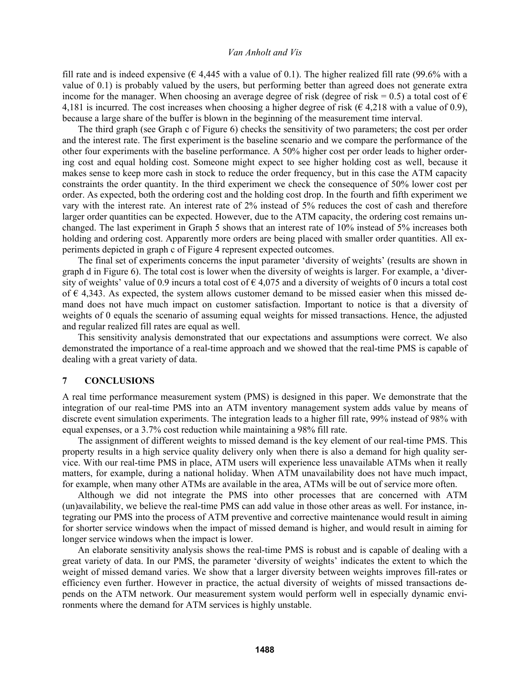fill rate and is indeed expensive ( $\epsilon$  4,445 with a value of 0.1). The higher realized fill rate (99.6% with a value of 0.1) is probably valued by the users, but performing better than agreed does not generate extra income for the manager. When choosing an average degree of risk (degree of risk = 0.5) a total cost of  $\epsilon$ 4,181 is incurred. The cost increases when choosing a higher degree of risk ( $\epsilon$  4,218 with a value of 0.9), because a large share of the buffer is blown in the beginning of the measurement time interval.

The third graph (see Graph c of Figure 6) checks the sensitivity of two parameters; the cost per order and the interest rate. The first experiment is the baseline scenario and we compare the performance of the other four experiments with the baseline performance. A 50% higher cost per order leads to higher ordering cost and equal holding cost. Someone might expect to see higher holding cost as well, because it makes sense to keep more cash in stock to reduce the order frequency, but in this case the ATM capacity constraints the order quantity. In the third experiment we check the consequence of 50% lower cost per order. As expected, both the ordering cost and the holding cost drop. In the fourth and fifth experiment we vary with the interest rate. An interest rate of 2% instead of 5% reduces the cost of cash and therefore larger order quantities can be expected. However, due to the ATM capacity, the ordering cost remains unchanged. The last experiment in Graph 5 shows that an interest rate of 10% instead of 5% increases both holding and ordering cost. Apparently more orders are being placed with smaller order quantities. All experiments depicted in graph c of Figure 4 represent expected outcomes.

The final set of experiments concerns the input parameter 'diversity of weights' (results are shown in graph d in Figure 6). The total cost is lower when the diversity of weights is larger. For example, a 'diversity of weights' value of 0.9 incurs a total cost of  $\epsilon$  4,075 and a diversity of weights of 0 incurs a total cost of  $\epsilon$  4,343. As expected, the system allows customer demand to be missed easier when this missed demand does not have much impact on customer satisfaction. Important to notice is that a diversity of weights of 0 equals the scenario of assuming equal weights for missed transactions. Hence, the adjusted and regular realized fill rates are equal as well.

This sensitivity analysis demonstrated that our expectations and assumptions were correct. We also demonstrated the importance of a real-time approach and we showed that the real-time PMS is capable of dealing with a great variety of data.

## **7 CONCLUSIONS**

A real time performance measurement system (PMS) is designed in this paper. We demonstrate that the integration of our real-time PMS into an ATM inventory management system adds value by means of discrete event simulation experiments. The integration leads to a higher fill rate, 99% instead of 98% with equal expenses, or a 3.7% cost reduction while maintaining a 98% fill rate.

The assignment of different weights to missed demand is the key element of our real-time PMS. This property results in a high service quality delivery only when there is also a demand for high quality service. With our real-time PMS in place, ATM users will experience less unavailable ATMs when it really matters, for example, during a national holiday. When ATM unavailability does not have much impact, for example, when many other ATMs are available in the area, ATMs will be out of service more often.

Although we did not integrate the PMS into other processes that are concerned with ATM (un)availability, we believe the real-time PMS can add value in those other areas as well. For instance, integrating our PMS into the process of ATM preventive and corrective maintenance would result in aiming for shorter service windows when the impact of missed demand is higher, and would result in aiming for longer service windows when the impact is lower.

An elaborate sensitivity analysis shows the real-time PMS is robust and is capable of dealing with a great variety of data. In our PMS, the parameter 'diversity of weights' indicates the extent to which the weight of missed demand varies. We show that a larger diversity between weights improves fill-rates or efficiency even further. However in practice, the actual diversity of weights of missed transactions depends on the ATM network. Our measurement system would perform well in especially dynamic environments where the demand for ATM services is highly unstable.